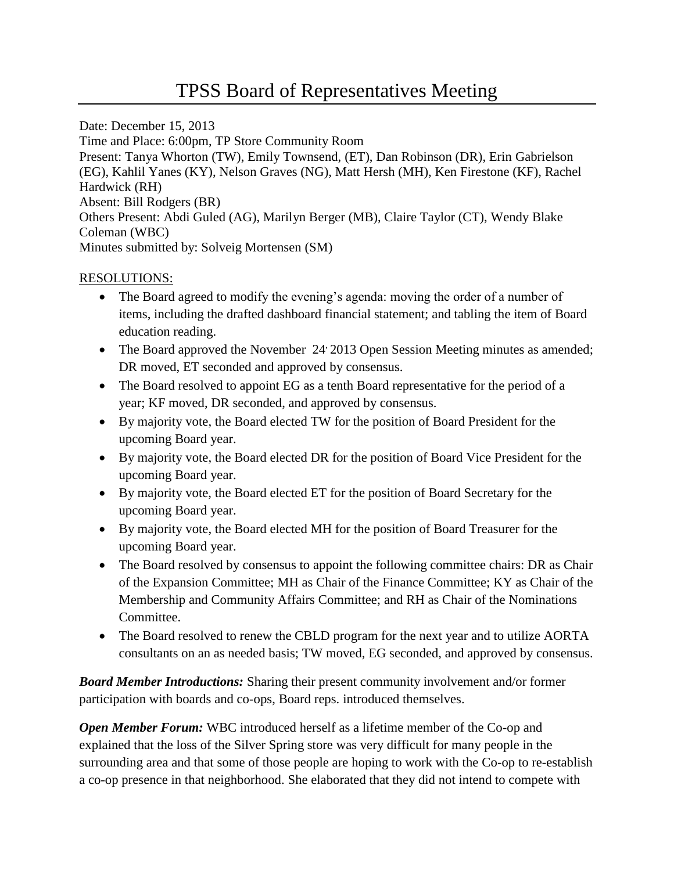Date: December 15, 2013 Time and Place: 6:00pm, TP Store Community Room Present: Tanya Whorton (TW), Emily Townsend, (ET), Dan Robinson (DR), Erin Gabrielson (EG), Kahlil Yanes (KY), Nelson Graves (NG), Matt Hersh (MH), Ken Firestone (KF), Rachel Hardwick (RH) Absent: Bill Rodgers (BR) Others Present: Abdi Guled (AG), Marilyn Berger (MB), Claire Taylor (CT), Wendy Blake Coleman (WBC) Minutes submitted by: Solveig Mortensen (SM)

## RESOLUTIONS:

- The Board agreed to modify the evening's agenda: moving the order of a number of items, including the drafted dashboard financial statement; and tabling the item of Board education reading.
- The Board approved the November  $24'$  2013 Open Session Meeting minutes as amended; DR moved, ET seconded and approved by consensus.
- The Board resolved to appoint EG as a tenth Board representative for the period of a year; KF moved, DR seconded, and approved by consensus.
- By majority vote, the Board elected TW for the position of Board President for the upcoming Board year.
- By majority vote, the Board elected DR for the position of Board Vice President for the upcoming Board year.
- By majority vote, the Board elected ET for the position of Board Secretary for the upcoming Board year.
- By majority vote, the Board elected MH for the position of Board Treasurer for the upcoming Board year.
- The Board resolved by consensus to appoint the following committee chairs: DR as Chair of the Expansion Committee; MH as Chair of the Finance Committee; KY as Chair of the Membership and Community Affairs Committee; and RH as Chair of the Nominations Committee.
- The Board resolved to renew the CBLD program for the next year and to utilize AORTA consultants on an as needed basis; TW moved, EG seconded, and approved by consensus.

*Board Member Introductions:* Sharing their present community involvement and/or former participation with boards and co-ops, Board reps. introduced themselves.

*Open Member Forum:* WBC introduced herself as a lifetime member of the Co-op and explained that the loss of the Silver Spring store was very difficult for many people in the surrounding area and that some of those people are hoping to work with the Co-op to re-establish a co-op presence in that neighborhood. She elaborated that they did not intend to compete with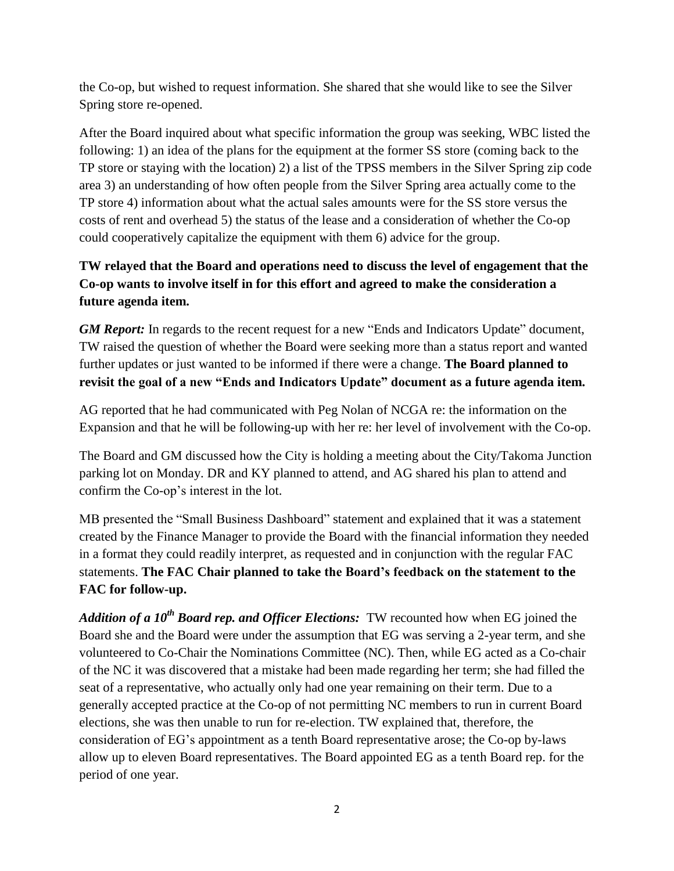the Co-op, but wished to request information. She shared that she would like to see the Silver Spring store re-opened.

After the Board inquired about what specific information the group was seeking, WBC listed the following: 1) an idea of the plans for the equipment at the former SS store (coming back to the TP store or staying with the location) 2) a list of the TPSS members in the Silver Spring zip code area 3) an understanding of how often people from the Silver Spring area actually come to the TP store 4) information about what the actual sales amounts were for the SS store versus the costs of rent and overhead 5) the status of the lease and a consideration of whether the Co-op could cooperatively capitalize the equipment with them 6) advice for the group.

## **TW relayed that the Board and operations need to discuss the level of engagement that the Co-op wants to involve itself in for this effort and agreed to make the consideration a future agenda item.**

*GM Report:* In regards to the recent request for a new "Ends and Indicators Update" document, TW raised the question of whether the Board were seeking more than a status report and wanted further updates or just wanted to be informed if there were a change. **The Board planned to revisit the goal of a new "Ends and Indicators Update" document as a future agenda item.** 

AG reported that he had communicated with Peg Nolan of NCGA re: the information on the Expansion and that he will be following-up with her re: her level of involvement with the Co-op.

The Board and GM discussed how the City is holding a meeting about the City/Takoma Junction parking lot on Monday. DR and KY planned to attend, and AG shared his plan to attend and confirm the Co-op's interest in the lot.

MB presented the "Small Business Dashboard" statement and explained that it was a statement created by the Finance Manager to provide the Board with the financial information they needed in a format they could readily interpret, as requested and in conjunction with the regular FAC statements. **The FAC Chair planned to take the Board's feedback on the statement to the FAC for follow-up.**

*Addition of a 10th Board rep. and Officer Elections:* TW recounted how when EG joined the Board she and the Board were under the assumption that EG was serving a 2-year term, and she volunteered to Co-Chair the Nominations Committee (NC). Then, while EG acted as a Co-chair of the NC it was discovered that a mistake had been made regarding her term; she had filled the seat of a representative, who actually only had one year remaining on their term. Due to a generally accepted practice at the Co-op of not permitting NC members to run in current Board elections, she was then unable to run for re-election. TW explained that, therefore, the consideration of EG's appointment as a tenth Board representative arose; the Co-op by-laws allow up to eleven Board representatives. The Board appointed EG as a tenth Board rep. for the period of one year.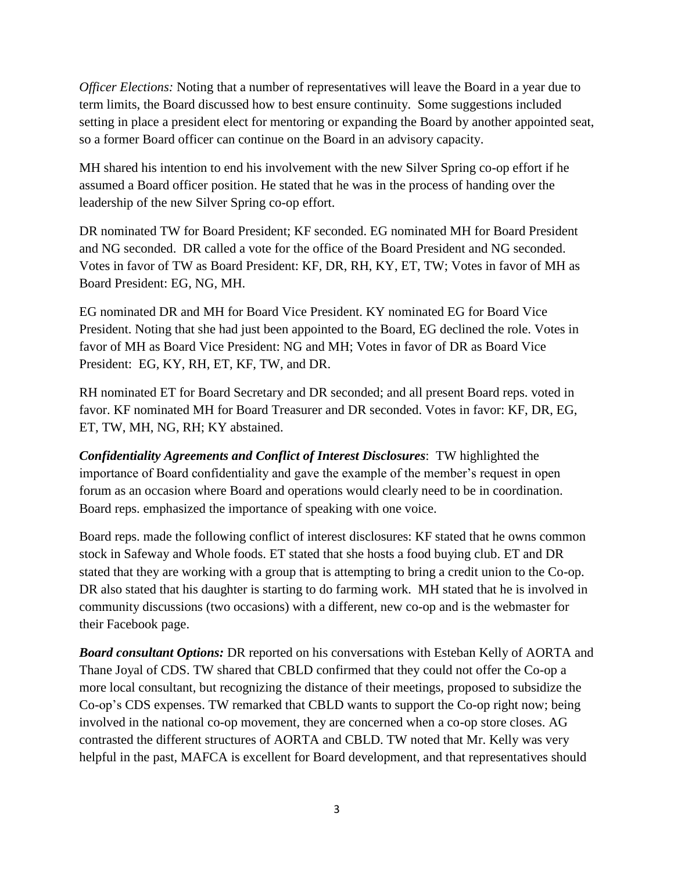*Officer Elections:* Noting that a number of representatives will leave the Board in a year due to term limits, the Board discussed how to best ensure continuity. Some suggestions included setting in place a president elect for mentoring or expanding the Board by another appointed seat, so a former Board officer can continue on the Board in an advisory capacity.

MH shared his intention to end his involvement with the new Silver Spring co-op effort if he assumed a Board officer position. He stated that he was in the process of handing over the leadership of the new Silver Spring co-op effort.

DR nominated TW for Board President; KF seconded. EG nominated MH for Board President and NG seconded. DR called a vote for the office of the Board President and NG seconded. Votes in favor of TW as Board President: KF, DR, RH, KY, ET, TW; Votes in favor of MH as Board President: EG, NG, MH.

EG nominated DR and MH for Board Vice President. KY nominated EG for Board Vice President. Noting that she had just been appointed to the Board, EG declined the role. Votes in favor of MH as Board Vice President: NG and MH; Votes in favor of DR as Board Vice President: EG, KY, RH, ET, KF, TW, and DR.

RH nominated ET for Board Secretary and DR seconded; and all present Board reps. voted in favor. KF nominated MH for Board Treasurer and DR seconded. Votes in favor: KF, DR, EG, ET, TW, MH, NG, RH; KY abstained.

*Confidentiality Agreements and Conflict of Interest Disclosures*: TW highlighted the importance of Board confidentiality and gave the example of the member's request in open forum as an occasion where Board and operations would clearly need to be in coordination. Board reps. emphasized the importance of speaking with one voice.

Board reps. made the following conflict of interest disclosures: KF stated that he owns common stock in Safeway and Whole foods. ET stated that she hosts a food buying club. ET and DR stated that they are working with a group that is attempting to bring a credit union to the Co-op. DR also stated that his daughter is starting to do farming work. MH stated that he is involved in community discussions (two occasions) with a different, new co-op and is the webmaster for their Facebook page.

*Board consultant Options:* DR reported on his conversations with Esteban Kelly of AORTA and Thane Joyal of CDS. TW shared that CBLD confirmed that they could not offer the Co-op a more local consultant, but recognizing the distance of their meetings, proposed to subsidize the Co-op's CDS expenses. TW remarked that CBLD wants to support the Co-op right now; being involved in the national co-op movement, they are concerned when a co-op store closes. AG contrasted the different structures of AORTA and CBLD. TW noted that Mr. Kelly was very helpful in the past, MAFCA is excellent for Board development, and that representatives should